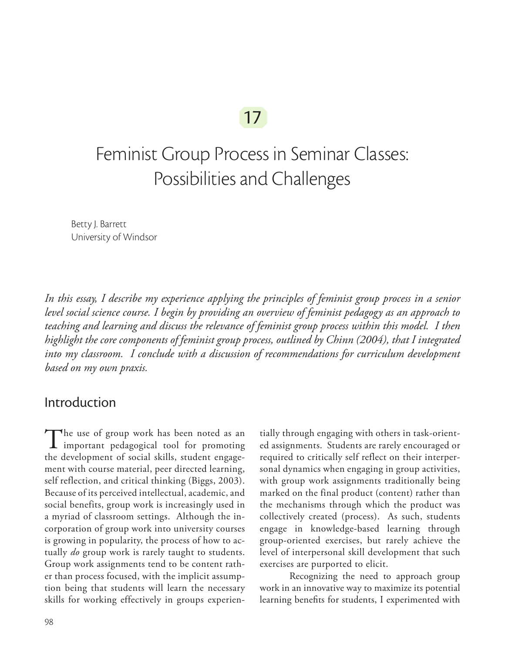## 17

# Feminist Group Process in Seminar Classes: Possibilities and Challenges

Betty J. Barrett University of Windsor

*In this essay, I describe my experience applying the principles of feminist group process in a senior level social science course. I begin by providing an overview of feminist pedagogy as an approach to teaching and learning and discuss the relevance of feminist group process within this model. I then highlight the core components of feminist group process, outlined by Chinn (2004), that I integrated*  into my classroom. I conclude with a discussion of recommendations for curriculum development *based on my own praxis.*

## Introduction

The use of group work has been noted as an **1** important pedagogical tool for promoting the development of social skills, student engagement with course material, peer directed learning, self reflection, and critical thinking (Biggs, 2003). Because of its perceived intellectual, academic, and social benefits, group work is increasingly used in a myriad of classroom settings. Although the incorporation of group work into university courses is growing in popularity, the process of how to actually *do* group work is rarely taught to students. Group work assignments tend to be content rather than process focused, with the implicit assumption being that students will learn the necessary skills for working effectively in groups experien-

tially through engaging with others in task-oriented assignments. Students are rarely encouraged or required to critically self reflect on their interpersonal dynamics when engaging in group activities, with group work assignments traditionally being marked on the final product (content) rather than the mechanisms through which the product was collectively created (process). As such, students engage in knowledge-based learning through group-oriented exercises, but rarely achieve the level of interpersonal skill development that such exercises are purported to elicit.

Recognizing the need to approach group work in an innovative way to maximize its potential learning benefits for students, I experimented with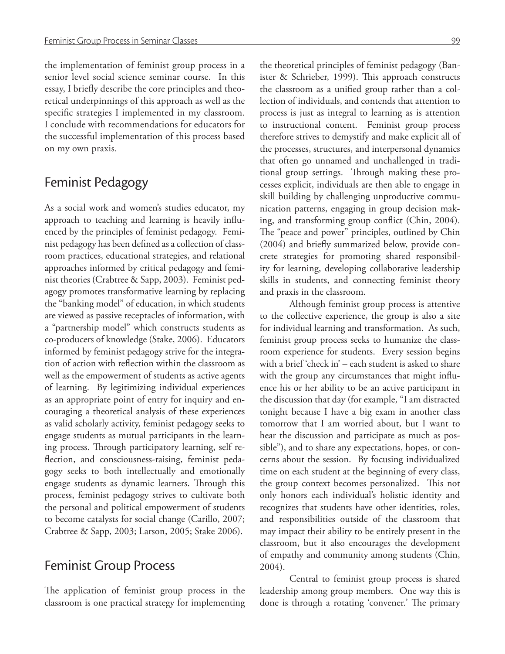the implementation of feminist group process in a senior level social science seminar course. In this essay, I briefly describe the core principles and theoretical underpinnings of this approach as well as the specific strategies I implemented in my classroom. I conclude with recommendations for educators for the successful implementation of this process based on my own praxis.

## Feminist Pedagogy

As a social work and women's studies educator, my approach to teaching and learning is heavily influenced by the principles of feminist pedagogy. Feminist pedagogy has been defined as a collection of classroom practices, educational strategies, and relational approaches informed by critical pedagogy and feminist theories (Crabtree & Sapp, 2003). Feminist pedagogy promotes transformative learning by replacing the "banking model" of education, in which students are viewed as passive receptacles of information, with a "partnership model" which constructs students as co-producers of knowledge (Stake, 2006). Educators informed by feminist pedagogy strive for the integration of action with reflection within the classroom as well as the empowerment of students as active agents of learning. By legitimizing individual experiences as an appropriate point of entry for inquiry and encouraging a theoretical analysis of these experiences as valid scholarly activity, feminist pedagogy seeks to engage students as mutual participants in the learning process. Through participatory learning, self reflection, and consciousness-raising, feminist pedagogy seeks to both intellectually and emotionally engage students as dynamic learners. Through this process, feminist pedagogy strives to cultivate both the personal and political empowerment of students to become catalysts for social change (Carillo, 2007; Crabtree & Sapp, 2003; Larson, 2005; Stake 2006).

#### Feminist Group Process

The application of feminist group process in the classroom is one practical strategy for implementing

the theoretical principles of feminist pedagogy (Banister & Schrieber, 1999). This approach constructs the classroom as a unified group rather than a collection of individuals, and contends that attention to process is just as integral to learning as is attention to instructional content. Feminist group process therefore strives to demystify and make explicit all of the processes, structures, and interpersonal dynamics that often go unnamed and unchallenged in traditional group settings. Through making these processes explicit, individuals are then able to engage in skill building by challenging unproductive communication patterns, engaging in group decision making, and transforming group conflict (Chin, 2004). The "peace and power" principles, outlined by Chin (2004) and briefly summarized below, provide concrete strategies for promoting shared responsibility for learning, developing collaborative leadership skills in students, and connecting feminist theory and praxis in the classroom.

Although feminist group process is attentive to the collective experience, the group is also a site for individual learning and transformation. As such, feminist group process seeks to humanize the classroom experience for students. Every session begins with a brief 'check in' – each student is asked to share with the group any circumstances that might influence his or her ability to be an active participant in the discussion that day (for example, "I am distracted tonight because I have a big exam in another class tomorrow that I am worried about, but I want to hear the discussion and participate as much as possible"), and to share any expectations, hopes, or concerns about the session. By focusing individualized time on each student at the beginning of every class, the group context becomes personalized. This not only honors each individual's holistic identity and recognizes that students have other identities, roles, and responsibilities outside of the classroom that may impact their ability to be entirely present in the classroom, but it also encourages the development of empathy and community among students (Chin, 2004).

Central to feminist group process is shared leadership among group members. One way this is done is through a rotating 'convener.' The primary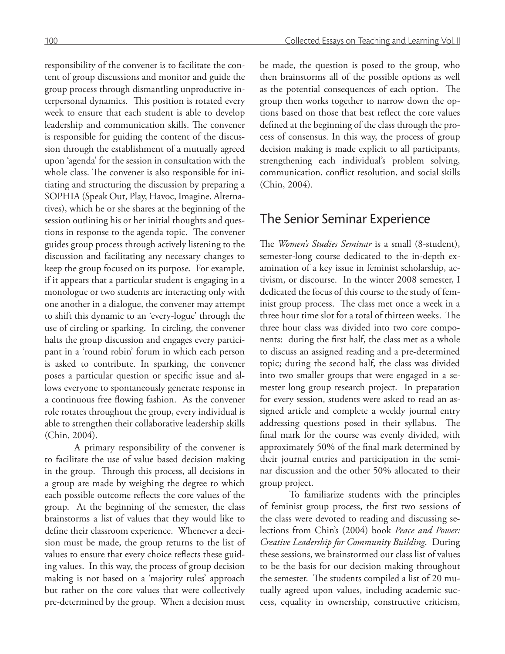responsibility of the convener is to facilitate the content of group discussions and monitor and guide the group process through dismantling unproductive interpersonal dynamics. This position is rotated every week to ensure that each student is able to develop leadership and communication skills. The convener is responsible for guiding the content of the discussion through the establishment of a mutually agreed upon 'agenda' for the session in consultation with the whole class. The convener is also responsible for initiating and structuring the discussion by preparing a SOPHIA (Speak Out, Play, Havoc, Imagine, Alternatives), which he or she shares at the beginning of the session outlining his or her initial thoughts and questions in response to the agenda topic. The convener guides group process through actively listening to the discussion and facilitating any necessary changes to keep the group focused on its purpose. For example, if it appears that a particular student is engaging in a monologue or two students are interacting only with one another in a dialogue, the convener may attempt to shift this dynamic to an 'every-logue' through the use of circling or sparking. In circling, the convener halts the group discussion and engages every participant in a 'round robin' forum in which each person is asked to contribute. In sparking, the convener poses a particular question or specific issue and allows everyone to spontaneously generate response in a continuous free flowing fashion. As the convener role rotates throughout the group, every individual is able to strengthen their collaborative leadership skills (Chin, 2004).

A primary responsibility of the convener is to facilitate the use of value based decision making in the group. Through this process, all decisions in a group are made by weighing the degree to which each possible outcome reflects the core values of the group. At the beginning of the semester, the class brainstorms a list of values that they would like to define their classroom experience. Whenever a decision must be made, the group returns to the list of values to ensure that every choice reflects these guiding values. In this way, the process of group decision making is not based on a 'majority rules' approach but rather on the core values that were collectively pre-determined by the group. When a decision must

be made, the question is posed to the group, who then brainstorms all of the possible options as well as the potential consequences of each option. The group then works together to narrow down the options based on those that best reflect the core values defined at the beginning of the class through the process of consensus. In this way, the process of group decision making is made explicit to all participants, strengthening each individual's problem solving, communication, conflict resolution, and social skills (Chin, 2004).

### The Senior Seminar Experience

The *Women's Studies Seminar* is a small (8-student), semester-long course dedicated to the in-depth examination of a key issue in feminist scholarship, activism, or discourse. In the winter 2008 semester, I dedicated the focus of this course to the study of feminist group process. The class met once a week in a three hour time slot for a total of thirteen weeks. The three hour class was divided into two core components: during the first half, the class met as a whole to discuss an assigned reading and a pre-determined topic; during the second half, the class was divided into two smaller groups that were engaged in a semester long group research project. In preparation for every session, students were asked to read an assigned article and complete a weekly journal entry addressing questions posed in their syllabus. The final mark for the course was evenly divided, with approximately 50% of the final mark determined by their journal entries and participation in the seminar discussion and the other 50% allocated to their group project.

To familiarize students with the principles of feminist group process, the first two sessions of the class were devoted to reading and discussing selections from Chin's (2004) book *Peace and Power: Creative Leadership for Community Building*. During these sessions, we brainstormed our class list of values to be the basis for our decision making throughout the semester. The students compiled a list of 20 mutually agreed upon values, including academic success, equality in ownership, constructive criticism,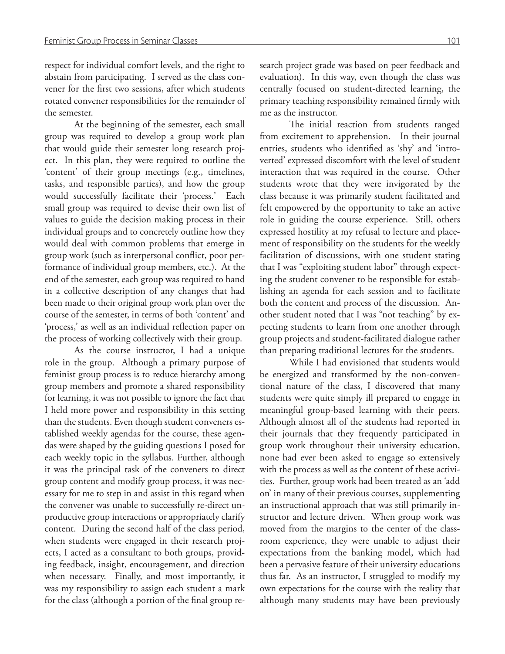respect for individual comfort levels, and the right to abstain from participating. I served as the class convener for the first two sessions, after which students rotated convener responsibilities for the remainder of the semester.

At the beginning of the semester, each small group was required to develop a group work plan that would guide their semester long research project. In this plan, they were required to outline the 'content' of their group meetings (e.g., timelines, tasks, and responsible parties), and how the group would successfully facilitate their 'process.' Each small group was required to devise their own list of values to guide the decision making process in their individual groups and to concretely outline how they would deal with common problems that emerge in group work (such as interpersonal conflict, poor performance of individual group members, etc.). At the end of the semester, each group was required to hand in a collective description of any changes that had been made to their original group work plan over the course of the semester, in terms of both 'content' and 'process,' as well as an individual reflection paper on the process of working collectively with their group.

As the course instructor, I had a unique role in the group. Although a primary purpose of feminist group process is to reduce hierarchy among group members and promote a shared responsibility for learning, it was not possible to ignore the fact that I held more power and responsibility in this setting than the students. Even though student conveners established weekly agendas for the course, these agendas were shaped by the guiding questions I posed for each weekly topic in the syllabus. Further, although it was the principal task of the conveners to direct group content and modify group process, it was necessary for me to step in and assist in this regard when the convener was unable to successfully re-direct unproductive group interactions or appropriately clarify content. During the second half of the class period, when students were engaged in their research projects, I acted as a consultant to both groups, providing feedback, insight, encouragement, and direction when necessary. Finally, and most importantly, it was my responsibility to assign each student a mark for the class (although a portion of the final group research project grade was based on peer feedback and evaluation). In this way, even though the class was centrally focused on student-directed learning, the primary teaching responsibility remained firmly with me as the instructor.

The initial reaction from students ranged from excitement to apprehension. In their journal entries, students who identified as 'shy' and 'introverted' expressed discomfort with the level of student interaction that was required in the course. Other students wrote that they were invigorated by the class because it was primarily student facilitated and felt empowered by the opportunity to take an active role in guiding the course experience. Still, others expressed hostility at my refusal to lecture and placement of responsibility on the students for the weekly facilitation of discussions, with one student stating that I was "exploiting student labor" through expecting the student convener to be responsible for establishing an agenda for each session and to facilitate both the content and process of the discussion. Another student noted that I was "not teaching" by expecting students to learn from one another through group projects and student-facilitated dialogue rather than preparing traditional lectures for the students.

While I had envisioned that students would be energized and transformed by the non-conventional nature of the class, I discovered that many students were quite simply ill prepared to engage in meaningful group-based learning with their peers. Although almost all of the students had reported in their journals that they frequently participated in group work throughout their university education, none had ever been asked to engage so extensively with the process as well as the content of these activities. Further, group work had been treated as an 'add on' in many of their previous courses, supplementing an instructional approach that was still primarily instructor and lecture driven. When group work was moved from the margins to the center of the classroom experience, they were unable to adjust their expectations from the banking model, which had been a pervasive feature of their university educations thus far. As an instructor, I struggled to modify my own expectations for the course with the reality that although many students may have been previously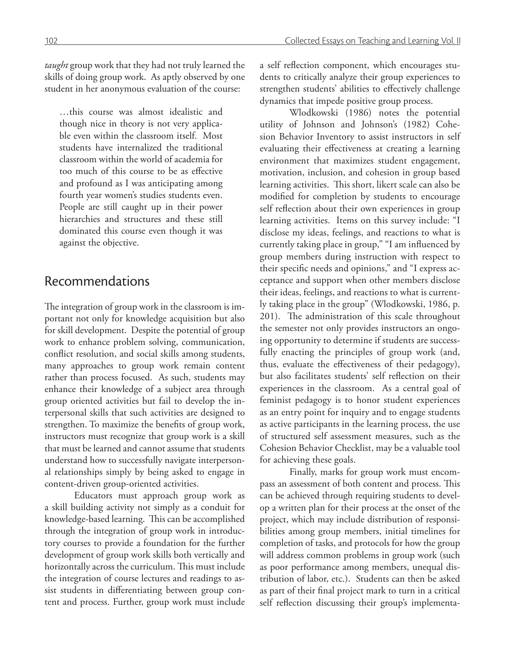*taught* group work that they had not truly learned the skills of doing group work. As aptly observed by one student in her anonymous evaluation of the course:

…this course was almost idealistic and though nice in theory is not very applicable even within the classroom itself. Most students have internalized the traditional classroom within the world of academia for too much of this course to be as effective and profound as I was anticipating among fourth year women's studies students even. People are still caught up in their power hierarchies and structures and these still dominated this course even though it was against the objective.

#### Recommendations

The integration of group work in the classroom is important not only for knowledge acquisition but also for skill development. Despite the potential of group work to enhance problem solving, communication, conflict resolution, and social skills among students, many approaches to group work remain content rather than process focused. As such, students may enhance their knowledge of a subject area through group oriented activities but fail to develop the interpersonal skills that such activities are designed to strengthen. To maximize the benefits of group work, instructors must recognize that group work is a skill that must be learned and cannot assume that students understand how to successfully navigate interpersonal relationships simply by being asked to engage in content-driven group-oriented activities.

Educators must approach group work as a skill building activity not simply as a conduit for knowledge-based learning. This can be accomplished through the integration of group work in introductory courses to provide a foundation for the further development of group work skills both vertically and horizontally across the curriculum. This must include the integration of course lectures and readings to assist students in differentiating between group content and process. Further, group work must include a self reflection component, which encourages students to critically analyze their group experiences to strengthen students' abilities to effectively challenge dynamics that impede positive group process.

Wlodkowski (1986) notes the potential utility of Johnson and Johnson's (1982) Cohesion Behavior Inventory to assist instructors in self evaluating their effectiveness at creating a learning environment that maximizes student engagement, motivation, inclusion, and cohesion in group based learning activities. This short, likert scale can also be modified for completion by students to encourage self reflection about their own experiences in group learning activities. Items on this survey include: "I disclose my ideas, feelings, and reactions to what is currently taking place in group," "I am influenced by group members during instruction with respect to their specific needs and opinions," and "I express acceptance and support when other members disclose their ideas, feelings, and reactions to what is currently taking place in the group" (Wlodkowski, 1986, p. 201). The administration of this scale throughout the semester not only provides instructors an ongoing opportunity to determine if students are successfully enacting the principles of group work (and, thus, evaluate the effectiveness of their pedagogy), but also facilitates students' self reflection on their experiences in the classroom. As a central goal of feminist pedagogy is to honor student experiences as an entry point for inquiry and to engage students as active participants in the learning process, the use of structured self assessment measures, such as the Cohesion Behavior Checklist, may be a valuable tool for achieving these goals.

Finally, marks for group work must encompass an assessment of both content and process. This can be achieved through requiring students to develop a written plan for their process at the onset of the project, which may include distribution of responsibilities among group members, initial timelines for completion of tasks, and protocols for how the group will address common problems in group work (such as poor performance among members, unequal distribution of labor, etc.). Students can then be asked as part of their final project mark to turn in a critical self reflection discussing their group's implementa-